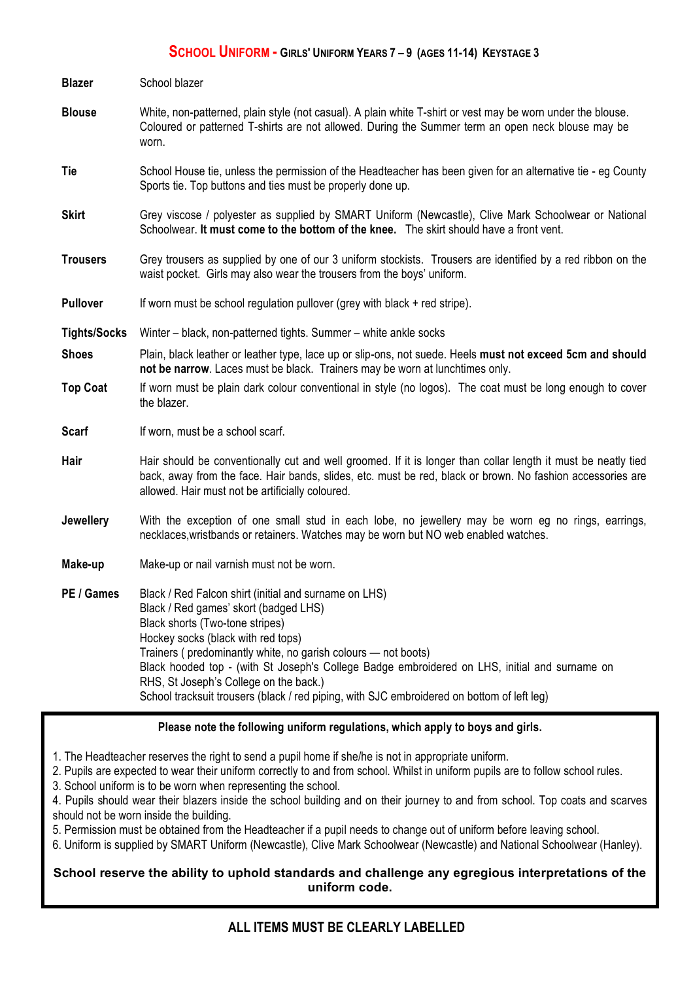## **SCHOOL UNIFORM - GIRLS' UNIFORM YEARS 7 – 9 (AGES 11-14) KEYSTAGE 3**

| <b>Blazer</b>       | School blazer                                                                                                                                                                                                                                                                                                                                                                       |
|---------------------|-------------------------------------------------------------------------------------------------------------------------------------------------------------------------------------------------------------------------------------------------------------------------------------------------------------------------------------------------------------------------------------|
| <b>Blouse</b>       | White, non-patterned, plain style (not casual). A plain white T-shirt or vest may be worn under the blouse.<br>Coloured or patterned T-shirts are not allowed. During the Summer term an open neck blouse may be<br>worn.                                                                                                                                                           |
| Tie                 | School House tie, unless the permission of the Headteacher has been given for an alternative tie - eg County<br>Sports tie. Top buttons and ties must be properly done up.                                                                                                                                                                                                          |
| <b>Skirt</b>        | Grey viscose / polyester as supplied by SMART Uniform (Newcastle), Clive Mark Schoolwear or National<br>Schoolwear. It must come to the bottom of the knee. The skirt should have a front vent.                                                                                                                                                                                     |
| <b>Trousers</b>     | Grey trousers as supplied by one of our 3 uniform stockists. Trousers are identified by a red ribbon on the<br>waist pocket. Girls may also wear the trousers from the boys' uniform.                                                                                                                                                                                               |
| <b>Pullover</b>     | If worn must be school regulation pullover (grey with black + red stripe).                                                                                                                                                                                                                                                                                                          |
| <b>Tights/Socks</b> | Winter – black, non-patterned tights. Summer – white ankle socks                                                                                                                                                                                                                                                                                                                    |
| <b>Shoes</b>        | Plain, black leather or leather type, lace up or slip-ons, not suede. Heels must not exceed 5cm and should<br>not be narrow. Laces must be black. Trainers may be worn at lunchtimes only.                                                                                                                                                                                          |
| <b>Top Coat</b>     | If worn must be plain dark colour conventional in style (no logos). The coat must be long enough to cover<br>the blazer.                                                                                                                                                                                                                                                            |
| <b>Scarf</b>        | If worn, must be a school scarf.                                                                                                                                                                                                                                                                                                                                                    |
| Hair                | Hair should be conventionally cut and well groomed. If it is longer than collar length it must be neatly tied<br>back, away from the face. Hair bands, slides, etc. must be red, black or brown. No fashion accessories are<br>allowed. Hair must not be artificially coloured.                                                                                                     |
| Jewellery           | With the exception of one small stud in each lobe, no jewellery may be worn eg no rings, earrings,<br>necklaces, wristbands or retainers. Watches may be worn but NO web enabled watches.                                                                                                                                                                                           |
| Make-up             | Make-up or nail varnish must not be worn.                                                                                                                                                                                                                                                                                                                                           |
| PE / Games          | Black / Red Falcon shirt (initial and surname on LHS)<br>Black / Red games' skort (badged LHS)<br>Black shorts (Two-tone stripes)<br>Hockey socks (black with red tops)<br>Trainers (predominantly white, no garish colours - not boots)<br>Black hooded top - (with St Joseph's College Badge embroidered on LHS, initial and surname on<br>RHS, St Joseph's College on the back.) |

School tracksuit trousers (black / red piping, with SJC embroidered on bottom of left leg)

#### **Please note the following uniform regulations, which apply to boys and girls.**

1. The Headteacher reserves the right to send a pupil home if she/he is not in appropriate uniform.

2. Pupils are expected to wear their uniform correctly to and from school. Whilst in uniform pupils are to follow school rules.

3. School uniform is to be worn when representing the school.

4. Pupils should wear their blazers inside the school building and on their journey to and from school. Top coats and scarves should not be worn inside the building.

5. Permission must be obtained from the Headteacher if a pupil needs to change out of uniform before leaving school.

6. Uniform is supplied by SMART Uniform (Newcastle), Clive Mark Schoolwear (Newcastle) and National Schoolwear (Hanley).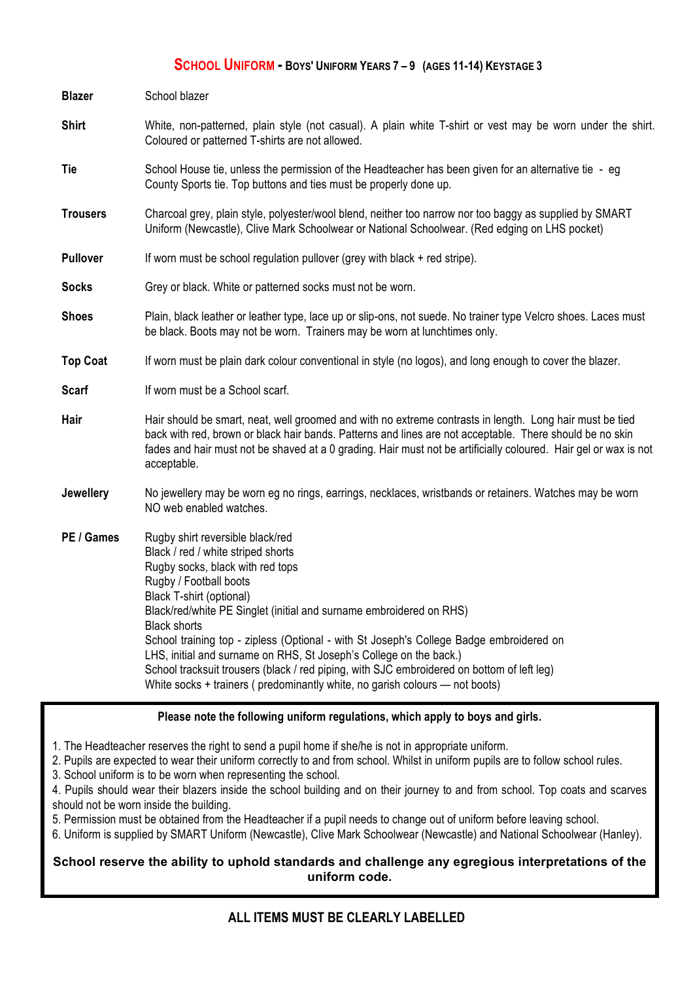### **SCHOOL UNIFORM - BOYS' UNIFORM YEARS 7 – 9 (AGES 11-14) KEYSTAGE 3**

| <b>Blazer</b>   | School blazer                                                                                                                                                                                                                                                                                                                                                                                                                                                                                                                                                                                                       |
|-----------------|---------------------------------------------------------------------------------------------------------------------------------------------------------------------------------------------------------------------------------------------------------------------------------------------------------------------------------------------------------------------------------------------------------------------------------------------------------------------------------------------------------------------------------------------------------------------------------------------------------------------|
| <b>Shirt</b>    | White, non-patterned, plain style (not casual). A plain white T-shirt or vest may be worn under the shirt.<br>Coloured or patterned T-shirts are not allowed.                                                                                                                                                                                                                                                                                                                                                                                                                                                       |
| Tie             | School House tie, unless the permission of the Headteacher has been given for an alternative tie - eg<br>County Sports tie. Top buttons and ties must be properly done up.                                                                                                                                                                                                                                                                                                                                                                                                                                          |
| <b>Trousers</b> | Charcoal grey, plain style, polyester/wool blend, neither too narrow nor too baggy as supplied by SMART<br>Uniform (Newcastle), Clive Mark Schoolwear or National Schoolwear. (Red edging on LHS pocket)                                                                                                                                                                                                                                                                                                                                                                                                            |
| <b>Pullover</b> | If worn must be school regulation pullover (grey with black + red stripe).                                                                                                                                                                                                                                                                                                                                                                                                                                                                                                                                          |
| <b>Socks</b>    | Grey or black. White or patterned socks must not be worn.                                                                                                                                                                                                                                                                                                                                                                                                                                                                                                                                                           |
| <b>Shoes</b>    | Plain, black leather or leather type, lace up or slip-ons, not suede. No trainer type Velcro shoes. Laces must<br>be black. Boots may not be worn. Trainers may be worn at lunchtimes only.                                                                                                                                                                                                                                                                                                                                                                                                                         |
| <b>Top Coat</b> | If worn must be plain dark colour conventional in style (no logos), and long enough to cover the blazer.                                                                                                                                                                                                                                                                                                                                                                                                                                                                                                            |
| <b>Scarf</b>    | If worn must be a School scarf.                                                                                                                                                                                                                                                                                                                                                                                                                                                                                                                                                                                     |
| Hair            | Hair should be smart, neat, well groomed and with no extreme contrasts in length. Long hair must be tied<br>back with red, brown or black hair bands. Patterns and lines are not acceptable. There should be no skin<br>fades and hair must not be shaved at a 0 grading. Hair must not be artificially coloured. Hair gel or wax is not<br>acceptable.                                                                                                                                                                                                                                                             |
| Jewellery       | No jewellery may be worn eg no rings, earrings, necklaces, wristbands or retainers. Watches may be worn<br>NO web enabled watches.                                                                                                                                                                                                                                                                                                                                                                                                                                                                                  |
| PE / Games      | Rugby shirt reversible black/red<br>Black / red / white striped shorts<br>Rugby socks, black with red tops<br>Rugby / Football boots<br><b>Black T-shirt (optional)</b><br>Black/red/white PE Singlet (initial and surname embroidered on RHS)<br><b>Black shorts</b><br>School training top - zipless (Optional - with St Joseph's College Badge embroidered on<br>LHS, initial and surname on RHS, St Joseph's College on the back.)<br>School tracksuit trousers (black / red piping, with SJC embroidered on bottom of left leg)<br>White socks + trainers (predominantly white, no garish colours - not boots) |

#### **Please note the following uniform regulations, which apply to boys and girls.**

1. The Headteacher reserves the right to send a pupil home if she/he is not in appropriate uniform.

2. Pupils are expected to wear their uniform correctly to and from school. Whilst in uniform pupils are to follow school rules.

3. School uniform is to be worn when representing the school.

4. Pupils should wear their blazers inside the school building and on their journey to and from school. Top coats and scarves should not be worn inside the building.

5. Permission must be obtained from the Headteacher if a pupil needs to change out of uniform before leaving school.

6. Uniform is supplied by SMART Uniform (Newcastle), Clive Mark Schoolwear (Newcastle) and National Schoolwear (Hanley).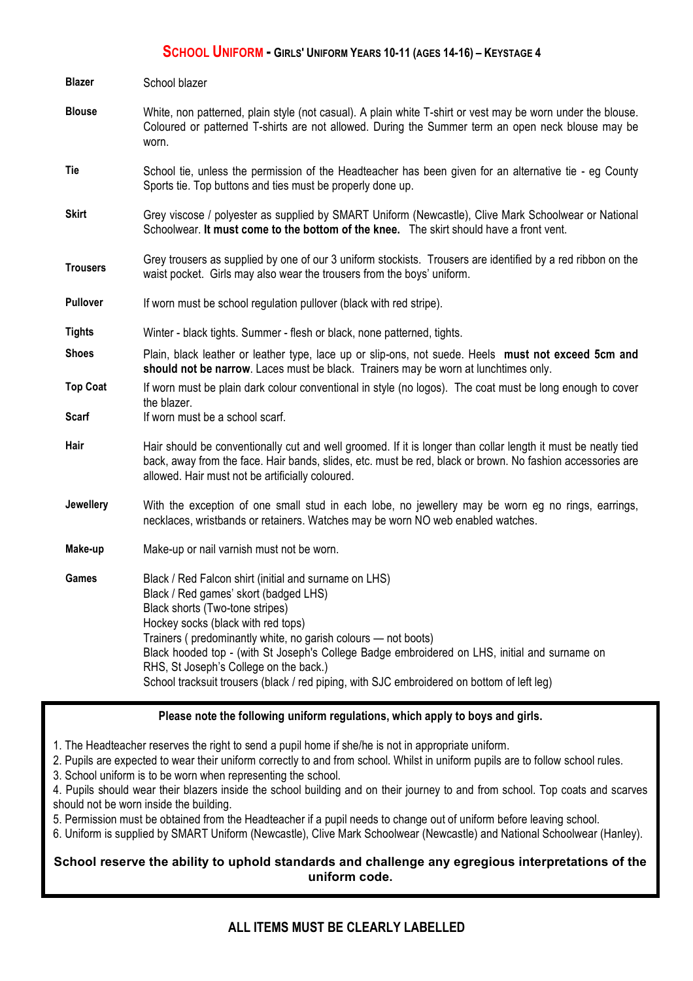#### **SCHOOL UNIFORM - GIRLS' UNIFORM YEARS 10-11 (AGES 14-16) – KEYSTAGE 4**

| <b>Blazer</b>    | School blazer                                                                                                                                                                                                                                                                                                                                                                                                                                                                     |
|------------------|-----------------------------------------------------------------------------------------------------------------------------------------------------------------------------------------------------------------------------------------------------------------------------------------------------------------------------------------------------------------------------------------------------------------------------------------------------------------------------------|
| <b>Blouse</b>    | White, non patterned, plain style (not casual). A plain white T-shirt or vest may be worn under the blouse.<br>Coloured or patterned T-shirts are not allowed. During the Summer term an open neck blouse may be<br>worn.                                                                                                                                                                                                                                                         |
| Tie              | School tie, unless the permission of the Headteacher has been given for an alternative tie - eg County<br>Sports tie. Top buttons and ties must be properly done up.                                                                                                                                                                                                                                                                                                              |
| <b>Skirt</b>     | Grey viscose / polyester as supplied by SMART Uniform (Newcastle), Clive Mark Schoolwear or National<br>Schoolwear. It must come to the bottom of the knee. The skirt should have a front vent.                                                                                                                                                                                                                                                                                   |
| <b>Trousers</b>  | Grey trousers as supplied by one of our 3 uniform stockists. Trousers are identified by a red ribbon on the<br>waist pocket. Girls may also wear the trousers from the boys' uniform.                                                                                                                                                                                                                                                                                             |
| <b>Pullover</b>  | If worn must be school regulation pullover (black with red stripe).                                                                                                                                                                                                                                                                                                                                                                                                               |
| <b>Tights</b>    | Winter - black tights. Summer - flesh or black, none patterned, tights.                                                                                                                                                                                                                                                                                                                                                                                                           |
| <b>Shoes</b>     | Plain, black leather or leather type, lace up or slip-ons, not suede. Heels must not exceed 5cm and<br>should not be narrow. Laces must be black. Trainers may be worn at lunchtimes only.                                                                                                                                                                                                                                                                                        |
| <b>Top Coat</b>  | If worn must be plain dark colour conventional in style (no logos). The coat must be long enough to cover<br>the blazer.                                                                                                                                                                                                                                                                                                                                                          |
| Scarf            | If worn must be a school scarf.                                                                                                                                                                                                                                                                                                                                                                                                                                                   |
| Hair             | Hair should be conventionally cut and well groomed. If it is longer than collar length it must be neatly tied<br>back, away from the face. Hair bands, slides, etc. must be red, black or brown. No fashion accessories are<br>allowed. Hair must not be artificially coloured.                                                                                                                                                                                                   |
| <b>Jewellery</b> | With the exception of one small stud in each lobe, no jewellery may be worn eg no rings, earrings,<br>necklaces, wristbands or retainers. Watches may be worn NO web enabled watches.                                                                                                                                                                                                                                                                                             |
| Make-up          | Make-up or nail varnish must not be worn.                                                                                                                                                                                                                                                                                                                                                                                                                                         |
| Games            | Black / Red Falcon shirt (initial and surname on LHS)<br>Black / Red games' skort (badged LHS)<br>Black shorts (Two-tone stripes)<br>Hockey socks (black with red tops)<br>Trainers (predominantly white, no garish colours - not boots)<br>Black hooded top - (with St Joseph's College Badge embroidered on LHS, initial and surname on<br>RHS, St Joseph's College on the back.)<br>School tracksuit trousers (black / red piping, with SJC embroidered on bottom of left leg) |

# **Please note the following uniform regulations, which apply to boys and girls.**

1. The Headteacher reserves the right to send a pupil home if she/he is not in appropriate uniform.

2. Pupils are expected to wear their uniform correctly to and from school. Whilst in uniform pupils are to follow school rules.

3. School uniform is to be worn when representing the school.

4. Pupils should wear their blazers inside the school building and on their journey to and from school. Top coats and scarves should not be worn inside the building.

5. Permission must be obtained from the Headteacher if a pupil needs to change out of uniform before leaving school.

**ALL ITEMS MUST BE CLEARLY LABELLED** 6. Uniform is supplied by SMART Uniform (Newcastle), Clive Mark Schoolwear (Newcastle) and National Schoolwear (Hanley).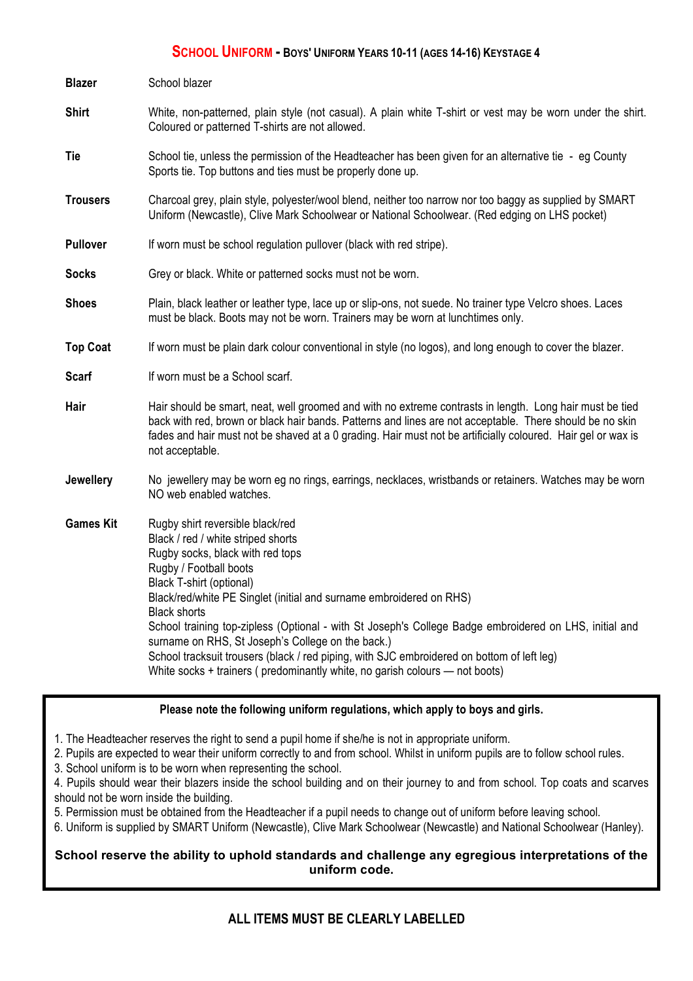#### **SCHOOL UNIFORM - BOYS' UNIFORM YEARS 10-11 (AGES 14-16) KEYSTAGE 4**

| <b>Blazer</b>    | School blazer                                                                                                                                                                                                                                                                                                                                                                                                                                                                                                                                                                                              |
|------------------|------------------------------------------------------------------------------------------------------------------------------------------------------------------------------------------------------------------------------------------------------------------------------------------------------------------------------------------------------------------------------------------------------------------------------------------------------------------------------------------------------------------------------------------------------------------------------------------------------------|
| <b>Shirt</b>     | White, non-patterned, plain style (not casual). A plain white T-shirt or vest may be worn under the shirt.<br>Coloured or patterned T-shirts are not allowed.                                                                                                                                                                                                                                                                                                                                                                                                                                              |
| Tie              | School tie, unless the permission of the Headteacher has been given for an alternative tie - eg County<br>Sports tie. Top buttons and ties must be properly done up.                                                                                                                                                                                                                                                                                                                                                                                                                                       |
| <b>Trousers</b>  | Charcoal grey, plain style, polyester/wool blend, neither too narrow nor too baggy as supplied by SMART<br>Uniform (Newcastle), Clive Mark Schoolwear or National Schoolwear. (Red edging on LHS pocket)                                                                                                                                                                                                                                                                                                                                                                                                   |
| <b>Pullover</b>  | If worn must be school regulation pullover (black with red stripe).                                                                                                                                                                                                                                                                                                                                                                                                                                                                                                                                        |
| <b>Socks</b>     | Grey or black. White or patterned socks must not be worn.                                                                                                                                                                                                                                                                                                                                                                                                                                                                                                                                                  |
| <b>Shoes</b>     | Plain, black leather or leather type, lace up or slip-ons, not suede. No trainer type Velcro shoes. Laces<br>must be black. Boots may not be worn. Trainers may be worn at lunchtimes only.                                                                                                                                                                                                                                                                                                                                                                                                                |
| <b>Top Coat</b>  | If worn must be plain dark colour conventional in style (no logos), and long enough to cover the blazer.                                                                                                                                                                                                                                                                                                                                                                                                                                                                                                   |
| <b>Scarf</b>     | If worn must be a School scarf.                                                                                                                                                                                                                                                                                                                                                                                                                                                                                                                                                                            |
| Hair             | Hair should be smart, neat, well groomed and with no extreme contrasts in length. Long hair must be tied<br>back with red, brown or black hair bands. Patterns and lines are not acceptable. There should be no skin<br>fades and hair must not be shaved at a 0 grading. Hair must not be artificially coloured. Hair gel or wax is<br>not acceptable.                                                                                                                                                                                                                                                    |
| <b>Jewellery</b> | No jewellery may be worn eg no rings, earrings, necklaces, wristbands or retainers. Watches may be worn<br>NO web enabled watches.                                                                                                                                                                                                                                                                                                                                                                                                                                                                         |
| <b>Games Kit</b> | Rugby shirt reversible black/red<br>Black / red / white striped shorts<br>Rugby socks, black with red tops<br>Rugby / Football boots<br>Black T-shirt (optional)<br>Black/red/white PE Singlet (initial and surname embroidered on RHS)<br><b>Black shorts</b><br>School training top-zipless (Optional - with St Joseph's College Badge embroidered on LHS, initial and<br>surname on RHS, St Joseph's College on the back.)<br>School tracksuit trousers (black / red piping, with SJC embroidered on bottom of left leg)<br>White socks + trainers (predominantly white, no garish colours - not boots) |

# Please note the following uniform regulations, which apply to boys and girls.

1. The Headteacher reserves the right to send a pupil home if she/he is not in appropriate uniform.

2. Pupils are expected to wear their uniform correctly to and from school. Whilst in uniform pupils are to follow school rules.

3. School uniform is to be worn when representing the school.

4. Pupils should wear their blazers inside the school building and on their journey to and from school. Top coats and scarves should not be worn inside the building.

5. Permission must be obtained from the Headteacher if a pupil needs to change out of uniform before leaving school.

6. Uniform is supplied by SMART Uniform (Newcastle), Clive Mark Schoolwear (Newcastle) and National Schoolwear (Hanley).